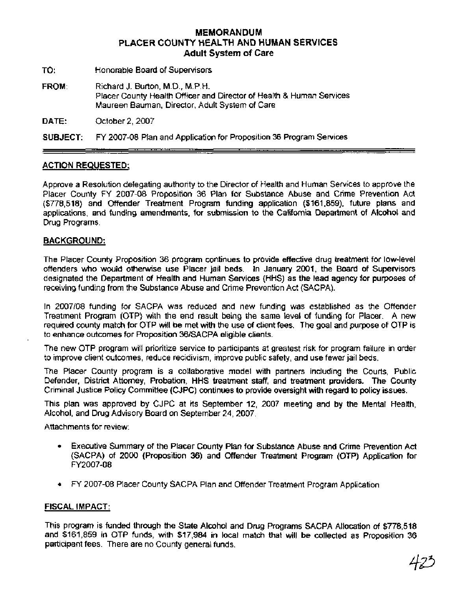#### **MEMORANDUM PLACER COUNTY HEALTH AND HUMAN SERVICES Adult System of Care**

TO: Honorable Board of Supervisors

FROM: Richard J. Burton, M.D., M.P.H. Placer County Health Officer and Director of Health & Human Services Maureen Bauman, Director, Adult System of Care

DATE: October 2,2007

SUBJECT: FY 2007-08 Plan and Application for Proposition 36 Program Services

#### ACTION REQUESTED:

Approve a Resolution delegating authority to the Director of Health and Human Services to approve the Placer County FY 2007-08 Proposition 36 Plan for Substance Abuse and Crime Prevention Act (\$778,518) and Offender Treatment Program funding application (\$161,859), future plans and applications, and funding amendments, for submission to the California Department of Alcohol and Drug Programs.

#### BACKGROUND:

The Placer County Proposition 36 program continues to provide effective drug treatment for low-level offenders who would otherwise use Placer jail beds. In January 2001, the Board of Supervisors designated the Department of Health and Human Services (HHS) as the lead agency for purposes of receiving funding from the Substance Abuse and Crime Prevention Act (SACPA).

In 2007/08 funding for SACPA was reduced and new funding was established as the Offender Treatment Program (OTP) with the end result being the same level of funding for Placer. A new required county match for OTP will be met with the use of client fees. The goal and purpose of OTP is to enhance outcomes for Proposition 36lSACPA eligible clients.

The new OTP program will prioritize service to participants at greatest risk for program failure in order to improve client outcomes, reduce recidivism, improve public safety, and use fewer jail beds.

The Placer County program is a collaborative model with partners including the Courts, Public Defender, District Attorney, Probation, HHS treatment staff, and treatment providers. The County Criminal Justice Policy Committee (CJPC) continues to provide oversight with regard to policy issues.

This plan was approved by CJPC at its September 12, 2007 meeting and by the Mental Health, Alcohol, and Drug Advisory Board on September 24,2007.

Attachments for review:

- Executive Summary of the Placer County Plan for Substance Abuse and Crime Prevention Act  $\bullet$ (SACPA) of 2000 (Proposition 36) and Offender Treatment Program (OTP) Application for FY2007-08
- FY 2007-08 Placer County SACPA Plan and Offender Treatment Program Application

#### FISCAL IMPACT:

This program is funded through the State Alcohol and Drug Programs SACPA Allocation of \$778,518 and \$161,859 in OTP funds, with \$17,984 in local match that will be coltected as Proposition 36 participant fees. There are no County general funds.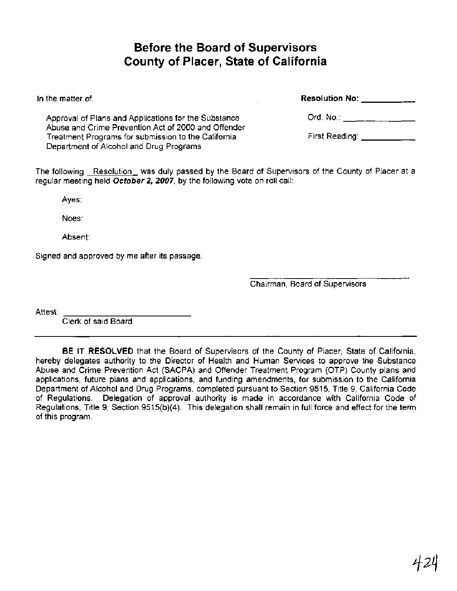# **Before the Board of Supervisors County of Placer, State of California**

| Resolution No: $\frac{1}{1-\epsilon}$ |
|---------------------------------------|
| First Reading: <b>First Reading:</b>  |
|                                       |

The following Resolution was duly passed by the Board of Supervisors of the County of Placer at a regular meeting held **October 2, 2007,** by the following vote on roll call:

Ayes:

Noes:

Absent:

Signed and approved by me after its passage.

Chairman, Board of Supervisors

Attest:

Clerk of said Board

**BE IT RESOLVED** that the Board of Supervisors of the County of Placer, State of California, hereby delegates authority to the Director of Health and Human Services to approve the Substance Abuse and Crime Prevention Act (SACPA) and Offender Treatment Program (OTP) County plans and applications, future plans and applications, and funding amendments, for submission to the California Department of Alcohol and Drug Programs, completed pursuant to Section 9515, Title 9, California Code of Regulations. Delegation of approval authority is made in accordance with California Code of Regulations, Title 9, Section 9515(b)(4). This delegation shall remain in full force and effect for the term of this program.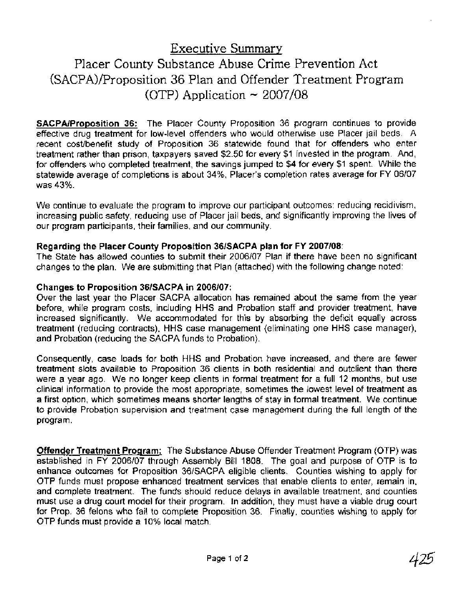Executive Summary

# Placer County Substance Abuse Crime Prevention Act (SACPA)/Proposition 36 Plan and Offender Treatment Program (OTP) Application  $\sim 2007/08$

**SACPAIProposition 36:** The Placer County Proposition 36 program continues to provide effective drug treatment for low-level offenders who would otherwise use Placer jail beds. A recent costlbenefit study of Proposition 36 statewide found that for offenders who enter treatment rather than prison, taxpayers saved \$2.50 for every \$1 invested in the program. And, for offenders who completed treatment, the savings jumped to \$4 for every \$1 spent. While the statewide average of completions is about 34%, Placer's completion rates average for FY 06107 was 43%.

We continue to evaluate the program to improve our participant outcomes: reducing recidivism, increasing public safety, reducing use of Placer jail beds, and significantly improving the lives of our program participants, their families, and our community.

#### **Regarding the Placer County Proposition 361SACPA plan for FY 2007108:**

The State has allowed counties to submit their 2006107 Plan if there have been no significant changes to the plan. We are submitting that Plan (attached) with the following change noted:

#### **Changes to Proposition 36lSACPA in 2006107:**

Over the last year the Placer SACPA allocation has remained about the same from the year before, while program costs, including HHS and Probation staff and provider treatment, have increased significantly. We accommodated for this by absorbing the deficit equally across treatment (reducing contracts), HHS case management (eliminating one HHS case manager), and Probation (reducing the SACPA funds to Probation).

Consequently, case loads for both HHS and Probation have increased, and there are fewer treatment slots available to Proposition 36 clients in both residential and outclient than there were a year ago. We no longer keep clients in formal treatment for a full 12 months, but use clinical information to provide the most appropriate, sometimes the lowest level of treatment as a first option, which sometimes means shorter lengths of stay in formal treatment. We continue to provide Probation supervision and treatment case management during the full length of the program.

**Offender Treatment Program:** The Substance Abuse Offender Treatment Program (OTP) was established in FY 2006/07 through Assembly Bill 1808. The goal and purpose of OTP is to enhance outcomes for Proposition 36/SACPA eligible clients. Counties wishing to apply for OTP funds must propose enhanced treatment services that enable clients to enter, remain in, and complete treatment. The funds should reduce delays in available treatment, and counties must use a drug court model for their program. In addition, they must have a viable drug court for Prop. 36 felons who fail to complete Proposition 36. Finally, counties wishing to apply for OTP funds must provide a 10% local match.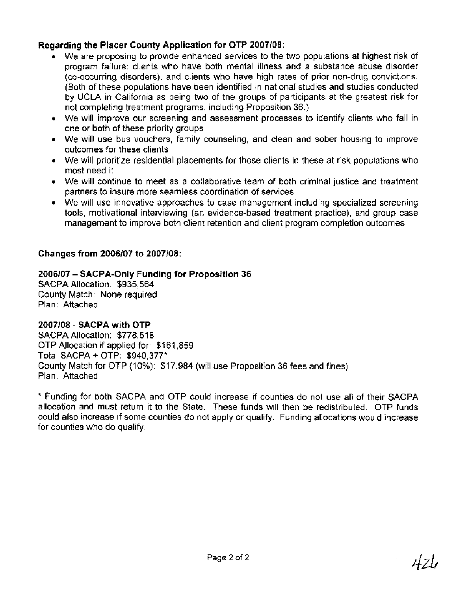# **Regarding the Placer County Application for OTP 2007108:**

- We are proposing to provide enhanced services to the two populations at highest risk of program failure: clients who have both mental illness and a substance abuse disorder (co-occurring disorders), and clients who have high rates of prior non-drug convictions. (Both of these populations have been identified in national studies and studies conducted by UCLA in California as being two of the groups of participants at the greatest risk for not completing treatment programs, including Proposition 36.)
- We will improve our screening and assessment processes to identify clients who fall in one or both of these priority groups
- We will use bus vouchers, family counseling, and clean and sober housing to improve outcomes for these clients
- We will prioritize residential placements for those clients in these at-risk populations who most need it
- We will continue to meet as a collaborative team of both criminal justice and treatment partners to insure more seamless coordination of services
- We will use innovative approaches to case management including specialized screening tools, motivational interviewing (an evidence-based treatment practice), and group case management to improve both client retention and client program completion outcomes

# **Changes from 2006107 to 2007108:**

# **<sup>2006107</sup>**- **SACPA-Only Funding for Proposition 36**

SACPA Allocation: \$935,564 County Match: None required Plan: Attached

# **2007108** - **SACPA with OTP**

SACPA Allocation: \$778,518 OTP Allocation if applied for: \$161,859 Total SACPA + OTP: \$940,377\* County Match for OTP (10%): \$17,984 (will use Proposition 36 fees and fines) Plan: Attached

\* Funding for both SACPA and OTP could increase if counties do not use all of their SACPA allocation and must return it to the State. These funds will then be redistributed. OTP funds could also increase if some counties do not apply or qualify. Funding allocations would increase for counties who do qualify.

424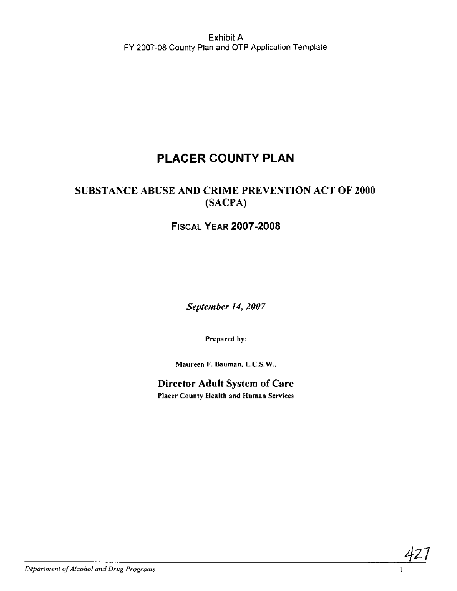# **PLACER COUNTY PLAN**

# **SUBSTANCE ABUSE AND CRIME PREVENTION ACT OF 2000 (SACPA)**

# **FISCAL YEAR 2007-2008**

September 14, 2007

**Prepared by:** 

**Maureen F. Bauman, L.C.S.W.,** 

**Director Adult System of Care Placer County Health and Human Services** 

**Department of Alcohol and Drug Programs** 

427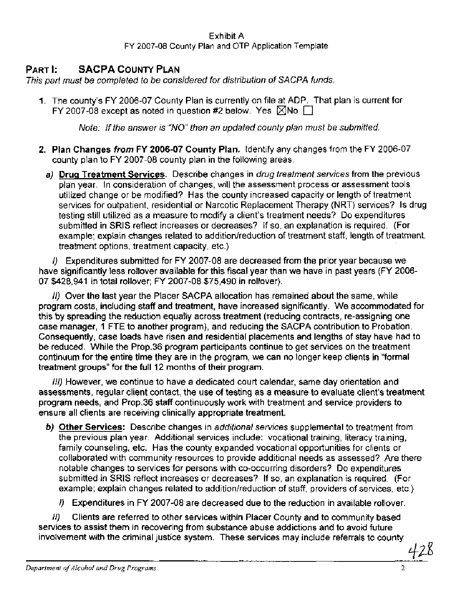# **PART I: SACPA COUNTY PLAN**

This part must be completed to be considered for distribution of SACPA funds.

**1.** The county's FY 2006-07 County Plan is currently on file at ADP. That plan is current for FY 2007-08 except as noted in question #2 below. Yes  $\boxtimes$ No  $\square$ 

Note: If the answer is "NO" then an updated county plan must be submitted.

- **2.** Plan Changes **from** FY **2006-07** County Plan. Identify any changes from the FY 2006-07 county plan to FY 2007-08 county plan in the following areas.
	- **a)** Drua Treatment Services. Describe changes in drug treatment services from the previous plan year. In consideration of changes, will the assessment process or assessment tools utilized change or be modified? Has the county increased capacity or length of treatment services for outpatient, residential or Narcotic Replacement Therapy (NRT) services? Is drug testing still utilized as a measure to modify a client's treatment needs? Do expenditures submitted in SRlS reflect increases or decreases? If so, an explanation is required. (For example; explain changes related to addition/reduction of treatment staff, length of treatment, treatment options, treatment capacity, etc.)

I) Expenditures submitted for FY 2007-08 are decreased from the prior year because we have significantly less rollover available for this fiscal year than we have in past years (FY 2006- 07 \$428,941 in total rollover; FY 2007-08 \$75,490 in rollover).

11) Over the last year the Placer SACPA allocation has remained about the same, while program costs, including staff and treatment, have increased significantly. We accommodated for this **by** spreading the reduction equally across treatment (reducing contracts, re-assigning one case manager, 1 FTE to another program), and reducing the SACPA contribution to Probation. Consequently, case loads have risen and residential placements and lengths of stay have had to **be** reduced. While the Prop.36 program participants continue to get services on the treatment continuum for the entire time they are in the program, we can no longer keep clients in "formal treatment groups" for the full 12 months of their program.

111) However, we continue to have a dedicated court calendar, same day orientation and assessments, regular client contact, the use of testing as a measure to evaluate client's treatment program needs, and Prop.36 staff continuously work with treatment and service providers to ensure all clients are receiving clinically appropriate treatment.

- **b)** Other Services: Describe changes in additional services supplemental to treatment from the previous plan year. Additional services include: vocational training, literacy training, family counseling, etc. Has the county expanded vocational opportunities for clients or collaborated with community resources to provide additional needs as assessed? Are there notable changes to services for persons with co-occurring disorders? Do expenditures submitted in SRlS reflect increases or decreases? If so, an explanation is required. (For example; explain changes related to addition/reduction of staff, providers of services, etc.)
	- I) Expenditures in FY 2007-08 are decreased due to the reduction in available rollover.

11) Clients are referred to other services within Placer County and to community based services to assist them in recovering from substance abuse addictions and to avoid future involvement with the criminal justice system. These services may include referrals to county eased due to the reduction in available asset<br>
within Placer County and to committance abuse addictions and to a<br>
These services may include refer

*Department of Alcohol and Drug Programs* 2

*<sup>8</sup>***h**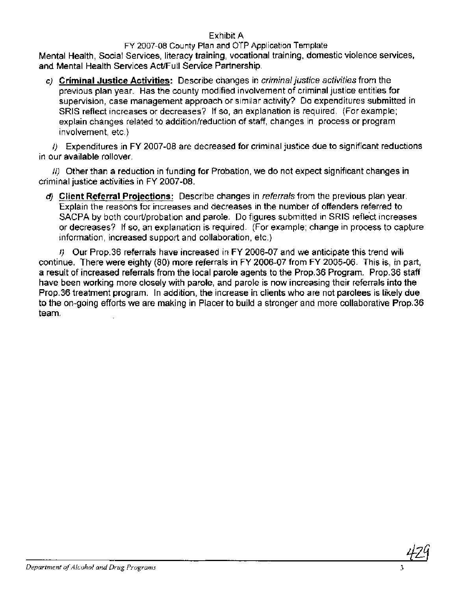# Exhibit A

#### FY 2007-08 County Plan and OTP Application Template Mental Health, Social Services, literacy training, vocational training, domestic violence services, and Mental Health Services Act/Full Service Partnership.

**c)** Criminal Justice Activities: Describe changes in criminal justice activities from the previous plan year. Has the county modified involvement of criminal justice entities for supervision, case management approach or similar activity? Do expenditures submitted in SRlS reflect increases or decreases? If so, an explanation is required. (For example; explain changes related to addition/reduction of staff, changes in process or program involvement, etc.)

I) Expenditures in FY 2007-08 are decreased for criminal justice due to significant reductions in our available rollover.

11) Other than a reduction in funding for Probation, we do not expect significant changes in criminal justice activities in FY 2007-08.

**d)** Client Referral Proiections: Describe changes in referrals from the previous plan year. Explain the reasons for increases and decreases in the number of offenders referred to SACPA by both court/probation and parole. Do figures submitted in SRIS reflect increases or decreases? If so, an explanation is required. (For example; change in process to capture information, increased support and collaboration, etc.)

I) Our Prop.36 referrals have increased in FY 2006-07 and we anticipate this trend will continue. There were eighty (80) more referrals in FY 2006-07 from FY 2005-06. This is, in part, a result of increased referrals from the local parole agents to the Prop.36 Program. Prop.36 staff have been working more closely with parole, and parole is now increasing their referrals into the Prop.36 treatment program. In addition, the increase in clients who are not parolees is likely due to the on-going efforts we are making in Placer to build a stronger and more collaborative Prop.36 team.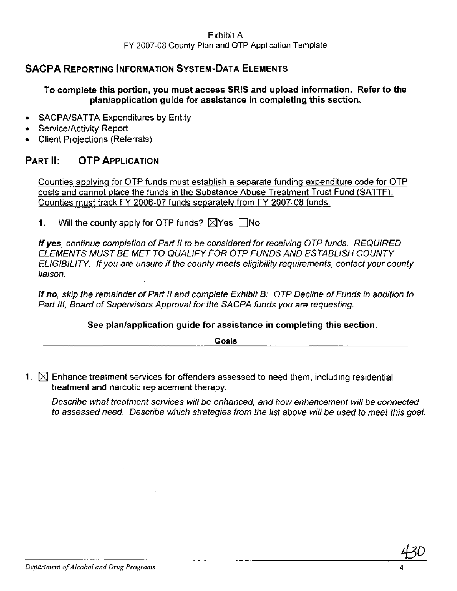# **SACPA REPORTING INFORMATION SYSTEM-DATA ELEMENTS**

#### **To complete this portion, you must access SRlS and upload information. Refer to the planlapplication guide for assistance in completing this section.**

- SACPA/SATTA Expenditures by Entity
- Service/Activity Report
- Client Projections (Referrals)

# **PART II: OTP APPLICATION**

Counties applying for OTP funds must establish a separate funding expenditure code for OTP costs and cannot place the funds in the Substance Abuse Treatment Trust Fund (SATTF). Counties must track FY 2006-07 funds separately from FY 2007-08 funds.

**1.** Will the county apply for OTP funds?  $\boxtimes$  Yes  $\Box$  No

If **yes,** continue completion of Part I1 to be considered for receiving OTP funds. REQUIRED ELEMENTS MUST BE MET TO QUALIFY FOR OTP FUNDS AND ESTABLISH COUNTY ELIGIBILITY. If you are unsure if the county meets eligibility requirements, contact your county liaison.

If *no,* skip the remainder of Part I1 and complete Exhibit 6: OTP Decline of Funds in addition to Part III, Board of Supervisors Approval for the SACPA funds you are requesting.

#### **See planlapplication guide for assistance in completing this section.**

**Goals** 

1.  $\boxtimes$  Enhance treatment services for offenders assessed to need them, including residential treatment and narcotic replacement therapy.

Describe what treatment services will be enhanced, and how enhancement will be connected to assessed need. Describe which strategies from the list above will be used to meet this goal.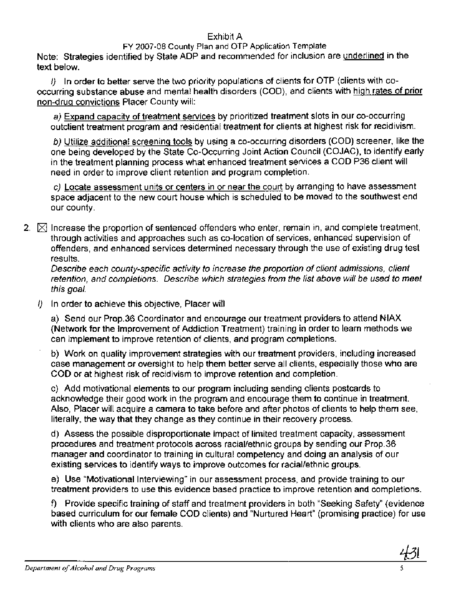#### Exhibit A

#### FY 2007-08 County Plan and OTP Application Template

Note: Strategies identified by State ADP and recommended for inclusion are underlined in the text below.

I) In order to better serve the two priority populations of clients for OTP (clients with cooccurring substance abuse and mental health disorders (COD), and clients with high rates of prior non-drug convictions Placer County will:

a) Expand capacity of treatment services by prioritized treatment slots in our co-occurring outclient treatment program and residential treatment for clients at highest risk for recidivism.

b) Utilize additional screening tools by using a co-occurring disorders (COD) screener, like the one being developed by the State Co-Occurring Joint Action Council (COJAC), to identify early in the treatment planning process what enhanced treatment services a COD P36 client will need in order to improve client retention and program completion.

c) Locate assessment units or centers in or near the court by arranging to have assessment space adjacent to the new court house which is scheduled to be moved to the southwest end our county.

2.  $\boxtimes$  Increase the proportion of sentenced offenders who enter, remain in, and complete treatment, through activities and approaches such as co-location of services, enhanced supervision of offenders, and enhanced services determined necessary through the use of existing drug test results.

Describe each county-specific activity to increase the proportion of client admissions, client retention, and completions. Describe which strategies from the list above will be used to meet this goal.

 $I$ ) In order to achieve this objective, Placer will

a) Send our Prop.36 Coordinator and encourage our treatment providers to attend NlAX (Network for the Improvement of Addiction Treatment) training in order to learn methods we can implement to improve retention of clients, and program completions.

b) Work on quality improvement strategies with our treatment providers, including increased case management or oversight to help them better serve all clients, especially those who are COD or at highest risk of recidivism to improve retention and completion.

c) Add motivational elements to our program including sending clients postcards to acknowledge their good work in the program and encourage them to continue in treatment. Also, Placer will acquire a camera to take before and after photos of clients to help them see, literally, the way that they change as they continue in their recovery process.

d) Assess the possible disproportionate impact of limited treatment capacity, assessment procedures and treatment protocols across raciallethnic groups by sending our Prop.36 manager and coordinator to training in cultural competency and doing an analysis of our existing services to identify ways to improve outcomes for racial/ethnic groups.

e) Use "Motivational Interviewing" in our assessment process, and provide training to our treatment providers to use this evidence based practice to improve retention and completions.

f) Provide specific training of staff and treatment providers in both "Seeking Safety" (evidence based curriculum for our female COD clients) and "Nurtured Heart" (promising practice) for use with clients who are also parents.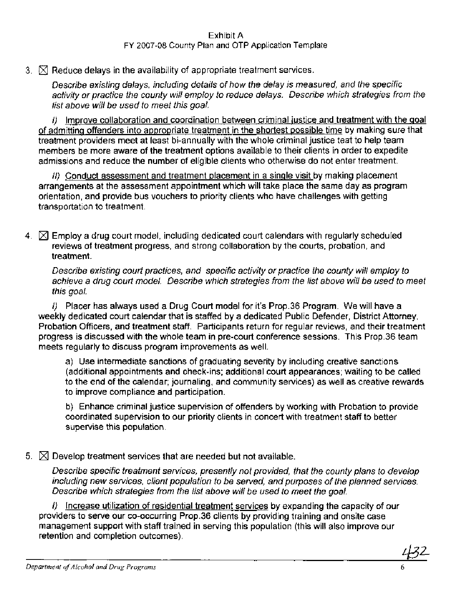# $3.$   $\boxtimes$  Reduce delays in the availability of appropriate treatment services.

Describe existing delays, including details of how the delay is measured, and the specific activity or practice the county will employ to reduce delays. Describe which strategies from the list above will be used to meet this goal.

I) Improve collaboration and coordination between criminal justice and treatment with the goal of admitting offenders into appropriate treatment in the shortest possible time by making sure that treatment providers meet at least bi-annually with the whole criminal justice teat to help team members be more aware of the treatment options available to their clients in order to expedite admissions and reduce the number of eligible clients who otherwise do not enter treatment.

11) Conduct assessment and treatment placement in a single visit by making placement arrangements at the assessment appointment which will take place the same day as program orientation, and provide bus vouchers to priority clients who have challenges with getting transportation to treatment.

**4.** Employ a drug court model, including dedicated court calendars with regularly scheduled reviews of treatment progress, and strong collaboration by the courts, probation, and treatment.

Describe existing court practices, and specific activity or practice the county will employ to achieve a drug court model. Describe which strategies from the list above will be used to meet this goal.

I) Placer has always used a Drug Court model for it's Prop.36 Program. We will have a weekly dedicated court calendar that is staffed by a dedicated Public Defender, District Attorney, Probation Officers, and treatment staff. Participants return for regular reviews, and their treatment progress is discussed with the whole team in pre-court conference sessions. This Prop.36 team meets regularly to discuss program improvements as well.

a) Use intermediate sanctions of graduating severity by including creative sanctions (additional appointments and check-ins; additional court appearances; waiting to be called to the end of the calendar; journaling, and community services) as well as creative rewards to improve compliance and participation.

b) Enhance criminal justice supervision of offenders by working with Probation to provide coordinated supervision to our priority clients in concert with treatment staff to better supervise this population.

#### 5.  $\boxtimes$  Develop treatment services that are needed but not available.

Describe specific treatment services, presently not provided, that the county plans to develop including new services, client population to be served, and purposes of the planned services. Describe which strategies from the list above will be used to meet the goal.

I) Increase utilization of residential treatment services by expanding the capacity of our providers to serve our co-occurring Prop.36 clients by providing training and onsite case management support with staff trained in serving this population (this will also improve our retention and completion outcomes).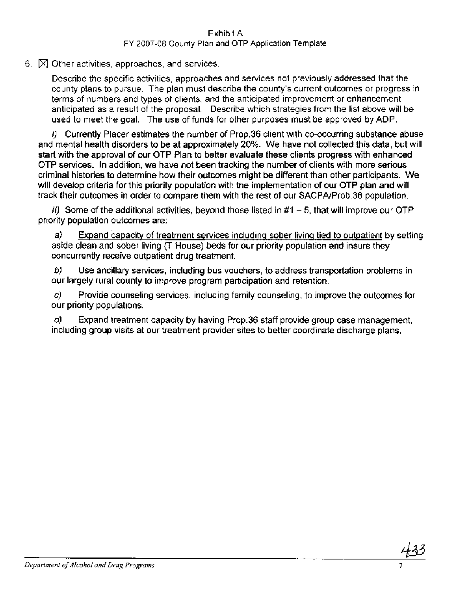6.  $\boxtimes$  Other activities, approaches, and services.

Describe the specific activities, approaches and services not previously addressed that the county plans to pursue. The plan must describe the county's current outcomes or progress in terms of numbers and types of clients, and the anticipated improvement or enhancement anticipated as a result of the proposal. Describe which strategies from the list above will be used to meet the goal. The use of funds for other purposes must be approved by ADP.

I) Currently Placer estimates the number of Prop.36 client with co-occurring substance abuse and mental health disorders to be at approximately 20%. We have not collected this data, but will start with the approval of our OTP Plan to better evaluate these clients progress with enhanced OTP services. In addition, we have not been tracking the number of clients with more serious criminal histories to determine how their outcomes might be different than other participants. We will develop criteria for this priority population with the implementation of our OTP plan and will track their outcomes in order to compare them with the rest of our SACPAIProb.36 population.

 $11)$  Some of the additional activities, beyond those listed in #1 – 5, that will improve our OTP priority population outcomes are:

 $a$  Expand capacity of treatment services including sober living tied to outpatient by setting aside clean and sober living (T House) beds for our priority population and insure they concurrently receive outpatient drug treatment.

**b)** Use ancillary services, including bus vouchers, to address transportation problems in our largely rural county to improve program participation and retention.

**c)** Provide counseling services, including family counseling, to improve the outcomes for our priority populations.

d) Expand treatment capacity by having Prop.36 staff provide group case management, including group visits at our treatment provider sites to better coordinate discharge plans.

*Department of Alcohol and Drug Programs*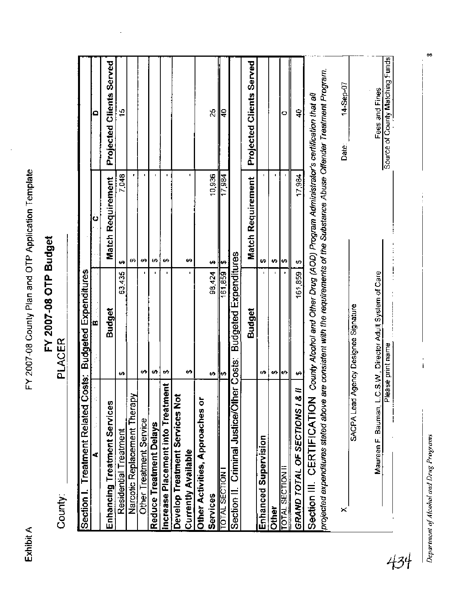**Department** of **Alcohol and Drug Programs 8** 

# FY 2007-08 OTP Budget<br>PLACER

County:

| County:                                                                                                                                                   | FY 2007-08 OTP Budget<br><b>PLACER</b>                                             |                          |                                    |
|-----------------------------------------------------------------------------------------------------------------------------------------------------------|------------------------------------------------------------------------------------|--------------------------|------------------------------------|
| <b>Treatment Related Costs:</b><br>Section I.                                                                                                             | <b>Budgeted Expenditures</b>                                                       |                          |                                    |
|                                                                                                                                                           | F                                                                                  | O                        | Ο                                  |
| Enhancing Treatment Services                                                                                                                              | <b>Budget</b>                                                                      | <b>Match Requirement</b> | <b>Clients Served</b><br>Projected |
| Residential Treatment                                                                                                                                     | 63,435<br>ø                                                                        | 7,048<br>မာ              | 15                                 |
| Narcotic Replacement Therapy                                                                                                                              |                                                                                    | ₩                        |                                    |
| Other Treatment Service                                                                                                                                   | ₩                                                                                  | ₩                        |                                    |
| Reduce Treatment Delays                                                                                                                                   | ₩                                                                                  | Ø                        |                                    |
| ncrease Placement into Treatment                                                                                                                          | p<br>ø                                                                             | $\blacksquare$<br>₩      |                                    |
| Develop Treatment Services Not                                                                                                                            |                                                                                    |                          |                                    |
| Currently Available                                                                                                                                       | ₩                                                                                  | ₩                        |                                    |
| Other Activities, Approaches or                                                                                                                           |                                                                                    |                          |                                    |
| Services                                                                                                                                                  | 98,424<br>¢)                                                                       | 10,936<br>₩              | 25                                 |
| <b>TOTAL SECTION I</b>                                                                                                                                    | 161,859<br>↮                                                                       | 17,984<br>H              | ş                                  |
| Criminal Justice/Other Costs:<br>Section II.                                                                                                              | <b>Budgeted Expenditures</b>                                                       |                          |                                    |
|                                                                                                                                                           | <b>Budget</b>                                                                      | <b>Match Requirement</b> | Projected Clients Served           |
| <b>Enhanced Supervision</b>                                                                                                                               | tA.                                                                                | ₩                        |                                    |
| <b>Other</b>                                                                                                                                              | ÷,                                                                                 | ٠<br>₩                   |                                    |
| <b>TOTAL SECTION II</b>                                                                                                                                   | ↮                                                                                  | ∣⇔                       | o                                  |
| ≈<br>GRAND TOTAL OF SECTIONS I &                                                                                                                          | 161,859<br>↮                                                                       | 17,984<br>↮              | ş                                  |
| projected expenditures stated above are consistent with the requirements of the Substance Abuse Offender Treatment Program.<br>Section III. CERTIFICATION | County Alcohol and Other Drug (AOD) Program Administrator's certification that all |                          |                                    |
| $\times$                                                                                                                                                  |                                                                                    |                          | 14-Sep-07<br>Date:                 |
|                                                                                                                                                           | SACPA Lead Agency Designee Signature                                               |                          |                                    |
|                                                                                                                                                           | Maureen F. Bauman, L.C.S.W., Director Adult System of Care                         |                          | Fees and Fines                     |
|                                                                                                                                                           | Please print name                                                                  |                          | Source of County Matching Funds    |
|                                                                                                                                                           |                                                                                    |                          |                                    |
| of Alcohol and Drug Programs                                                                                                                              |                                                                                    |                          |                                    |
|                                                                                                                                                           |                                                                                    |                          |                                    |
|                                                                                                                                                           |                                                                                    |                          |                                    |
|                                                                                                                                                           |                                                                                    |                          |                                    |
|                                                                                                                                                           |                                                                                    |                          |                                    |
|                                                                                                                                                           |                                                                                    |                          |                                    |
|                                                                                                                                                           |                                                                                    |                          |                                    |

∞